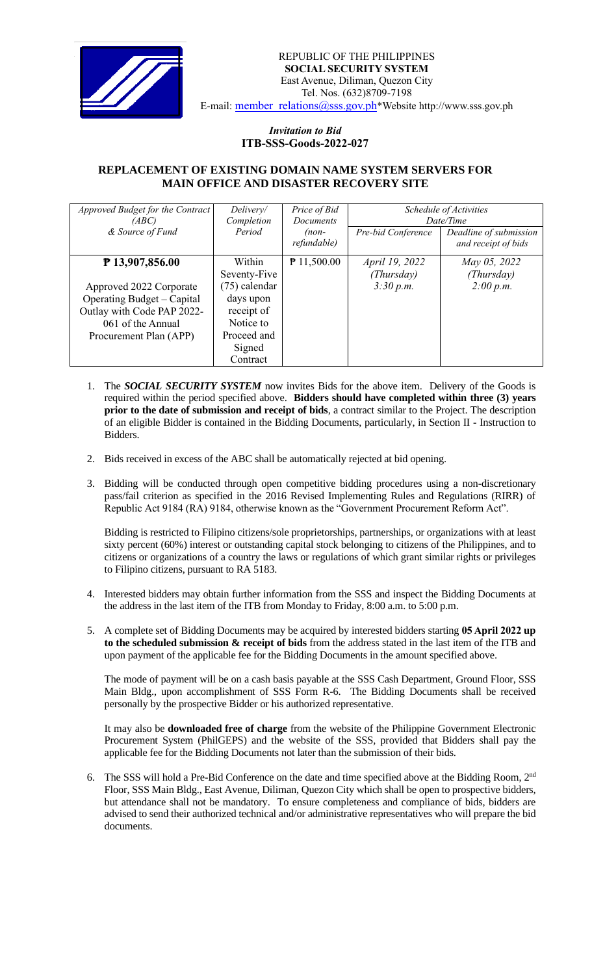

## *Invitation to Bid*  **ITB-SSS-Goods-2022-027**

## **REPLACEMENT OF EXISTING DOMAIN NAME SYSTEM SERVERS FOR MAIN OFFICE AND DISASTER RECOVERY SITE**

| Approved Budget for the Contract<br>(ABC)                                                                                          | Delivery/<br>Completion                                                                    | Price of Bid<br><b>Documents</b> | Schedule of Activities<br>Date/Time |                                               |
|------------------------------------------------------------------------------------------------------------------------------------|--------------------------------------------------------------------------------------------|----------------------------------|-------------------------------------|-----------------------------------------------|
| & Source of Fund                                                                                                                   | Period                                                                                     | $(non-$<br>refundable)           | Pre-bid Conference                  | Deadline of submission<br>and receipt of bids |
| $P$ 13,907,856.00                                                                                                                  | Within<br>Seventy-Five                                                                     | $P$ 11,500.00                    | April 19, 2022<br>(Thursday)        | May 05, 2022<br>(Thursday)                    |
| Approved 2022 Corporate<br>Operating Budget – Capital<br>Outlay with Code PAP 2022-<br>061 of the Annual<br>Procurement Plan (APP) | (75) calendar<br>days upon<br>receipt of<br>Notice to<br>Proceed and<br>Signed<br>Contract |                                  | 3:30 p.m.                           | 2:00 p.m.                                     |

- 1. The *SOCIAL SECURITY SYSTEM* now invites Bids for the above item. Delivery of the Goods is required within the period specified above. **Bidders should have completed within three (3) years prior to the date of submission and receipt of bids**, a contract similar to the Project. The description of an eligible Bidder is contained in the Bidding Documents, particularly, in Section II - Instruction to Bidders.
- 2. Bids received in excess of the ABC shall be automatically rejected at bid opening.
- 3. Bidding will be conducted through open competitive bidding procedures using a non-discretionary pass/fail criterion as specified in the 2016 Revised Implementing Rules and Regulations (RIRR) of Republic Act 9184 (RA) 9184, otherwise known as the "Government Procurement Reform Act".

Bidding is restricted to Filipino citizens/sole proprietorships, partnerships, or organizations with at least sixty percent (60%) interest or outstanding capital stock belonging to citizens of the Philippines, and to citizens or organizations of a country the laws or regulations of which grant similar rights or privileges to Filipino citizens, pursuant to RA 5183.

- 4. Interested bidders may obtain further information from the SSS and inspect the Bidding Documents at the address in the last item of the ITB from Monday to Friday, 8:00 a.m. to 5:00 p.m.
- 5. A complete set of Bidding Documents may be acquired by interested bidders starting **05 April 2022 up to the scheduled submission & receipt of bids** from the address stated in the last item of the ITB and upon payment of the applicable fee for the Bidding Documents in the amount specified above.

The mode of payment will be on a cash basis payable at the SSS Cash Department, Ground Floor, SSS Main Bldg., upon accomplishment of SSS Form R-6. The Bidding Documents shall be received personally by the prospective Bidder or his authorized representative.

It may also be **downloaded free of charge** from the website of the Philippine Government Electronic Procurement System (PhilGEPS) and the website of the SSS*,* provided that Bidders shall pay the applicable fee for the Bidding Documents not later than the submission of their bids.

6. The SSS will hold a Pre-Bid Conference on the date and time specified above at the Bidding Room, 2<sup>nd</sup> Floor, SSS Main Bldg., East Avenue, Diliman, Quezon City which shall be open to prospective bidders, but attendance shall not be mandatory. To ensure completeness and compliance of bids, bidders are advised to send their authorized technical and/or administrative representatives who will prepare the bid documents.